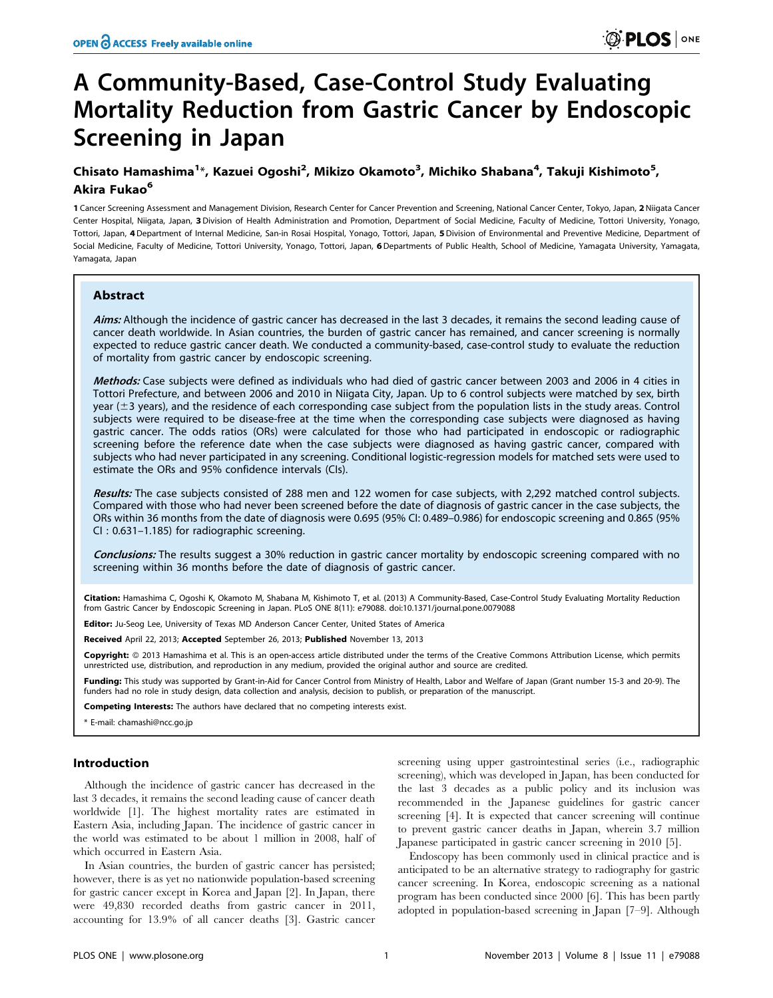## A Community-Based, Case-Control Study Evaluating Mortality Reduction from Gastric Cancer by Endoscopic Screening in Japan

### Chisato Hamashima<sup>1</sup>\*, Kazuei Ogoshi<sup>2</sup>, Mikizo Okamoto<sup>3</sup>, Michiko Shabana<sup>4</sup>, Takuji Kishimoto<sup>5</sup>, Akira Fukao<sup>6</sup>

1 Cancer Screening Assessment and Management Division, Research Center for Cancer Prevention and Screening, National Cancer Center, Tokyo, Japan, 2 Niigata Cancer Center Hospital, Niigata, Japan, 3Division of Health Administration and Promotion, Department of Social Medicine, Faculty of Medicine, Tottori University, Yonago, Tottori, Japan, 4 Department of Internal Medicine, San-in Rosai Hospital, Yonago, Tottori, Japan, 5 Division of Environmental and Preventive Medicine, Department of Social Medicine, Faculty of Medicine, Tottori University, Yonago, Tottori, Japan, 6 Departments of Public Health, School of Medicine, Yamagata University, Yamagata, Yamagata, Japan

#### Abstract

Aims: Although the incidence of gastric cancer has decreased in the last 3 decades, it remains the second leading cause of cancer death worldwide. In Asian countries, the burden of gastric cancer has remained, and cancer screening is normally expected to reduce gastric cancer death. We conducted a community-based, case-control study to evaluate the reduction of mortality from gastric cancer by endoscopic screening.

Methods: Case subjects were defined as individuals who had died of gastric cancer between 2003 and 2006 in 4 cities in Tottori Prefecture, and between 2006 and 2010 in Niigata City, Japan. Up to 6 control subjects were matched by sex, birth year  $(\pm 3$  years), and the residence of each corresponding case subject from the population lists in the study areas. Control subjects were required to be disease-free at the time when the corresponding case subjects were diagnosed as having gastric cancer. The odds ratios (ORs) were calculated for those who had participated in endoscopic or radiographic screening before the reference date when the case subjects were diagnosed as having gastric cancer, compared with subjects who had never participated in any screening. Conditional logistic-regression models for matched sets were used to estimate the ORs and 95% confidence intervals (CIs).

Results: The case subjects consisted of 288 men and 122 women for case subjects, with 2,292 matched control subjects. Compared with those who had never been screened before the date of diagnosis of gastric cancer in the case subjects, the ORs within 36 months from the date of diagnosis were 0.695 (95% CI: 0.489–0.986) for endoscopic screening and 0.865 (95% CI : 0.631–1.185) for radiographic screening.

Conclusions: The results suggest a 30% reduction in gastric cancer mortality by endoscopic screening compared with no screening within 36 months before the date of diagnosis of gastric cancer.

Citation: Hamashima C, Ogoshi K, Okamoto M, Shabana M, Kishimoto T, et al. (2013) A Community-Based, Case-Control Study Evaluating Mortality Reduction from Gastric Cancer by Endoscopic Screening in Japan. PLoS ONE 8(11): e79088. doi:10.1371/journal.pone.0079088

Editor: Ju-Seog Lee, University of Texas MD Anderson Cancer Center, United States of America

Received April 22, 2013; Accepted September 26, 2013; Published November 13, 2013

Copyright: @ 2013 Hamashima et al. This is an open-access article distributed under the terms of the Creative Commons Attribution License, which permits unrestricted use, distribution, and reproduction in any medium, provided the original author and source are credited.

Funding: This study was supported by Grant-in-Aid for Cancer Control from Ministry of Health, Labor and Welfare of Japan (Grant number 15-3 and 20-9). The funders had no role in study design, data collection and analysis, decision to publish, or preparation of the manuscript.

Competing Interests: The authors have declared that no competing interests exist.

\* E-mail: chamashi@ncc.go.jp

#### Introduction

Although the incidence of gastric cancer has decreased in the last 3 decades, it remains the second leading cause of cancer death worldwide [1]. The highest mortality rates are estimated in Eastern Asia, including Japan. The incidence of gastric cancer in the world was estimated to be about 1 million in 2008, half of which occurred in Eastern Asia.

In Asian countries, the burden of gastric cancer has persisted; however, there is as yet no nationwide population-based screening for gastric cancer except in Korea and Japan [2]. In Japan, there were 49,830 recorded deaths from gastric cancer in 2011, accounting for 13.9% of all cancer deaths [3]. Gastric cancer

screening using upper gastrointestinal series (i.e., radiographic screening), which was developed in Japan, has been conducted for the last 3 decades as a public policy and its inclusion was recommended in the Japanese guidelines for gastric cancer screening [4]. It is expected that cancer screening will continue to prevent gastric cancer deaths in Japan, wherein 3.7 million Japanese participated in gastric cancer screening in 2010 [5].

Endoscopy has been commonly used in clinical practice and is anticipated to be an alternative strategy to radiography for gastric cancer screening. In Korea, endoscopic screening as a national program has been conducted since 2000 [6]. This has been partly adopted in population-based screening in Japan [7–9]. Although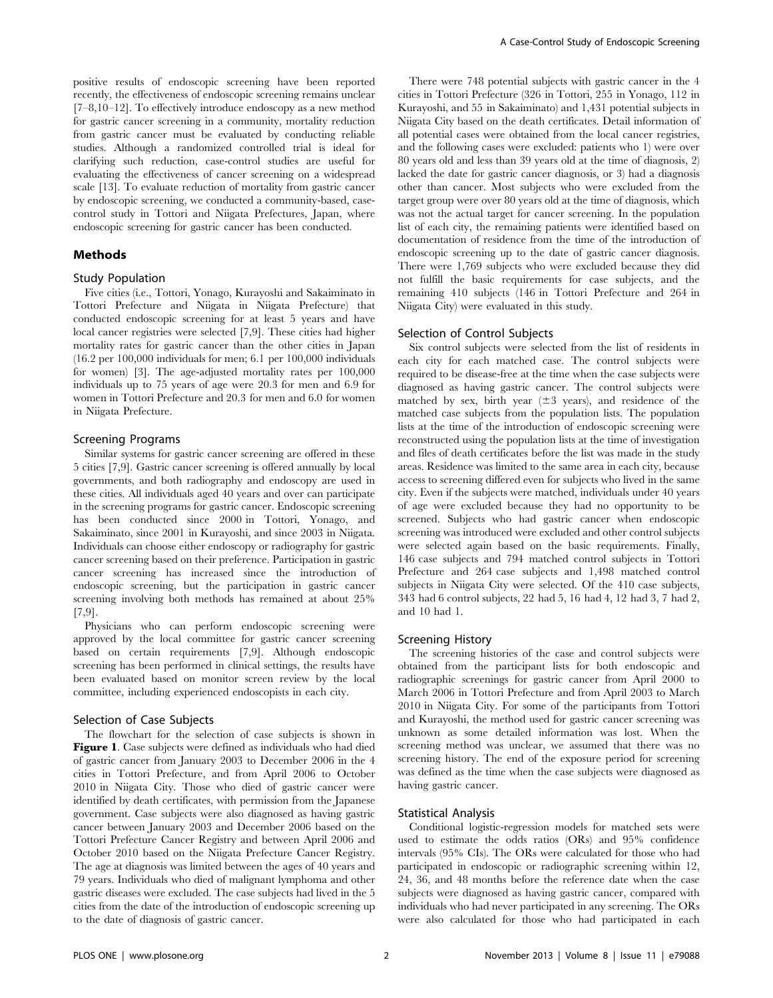positive results of endoscopic screening have been reported recently, the effectiveness of endoscopic screening remains unclear [7–8,10–12]. To effectively introduce endoscopy as a new method for gastric cancer screening in a community, mortality reduction from gastric cancer must be evaluated by conducting reliable studies. Although a randomized controlled trial is ideal for clarifying such reduction, case-control studies are useful for evaluating the effectiveness of cancer screening on a widespread scale [13]. To evaluate reduction of mortality from gastric cancer by endoscopic screening, we conducted a community-based, casecontrol study in Tottori and Niigata Prefectures, Japan, where endoscopic screening for gastric cancer has been conducted.

#### Methods

#### Study Population

Five cities (i.e., Tottori, Yonago, Kurayoshi and Sakaiminato in Tottori Prefecture and Niigata in Niigata Prefecture) that conducted endoscopic screening for at least 5 years and have local cancer registries were selected [7,9]. These cities had higher mortality rates for gastric cancer than the other cities in Japan (16.2 per 100,000 individuals for men; 6.1 per 100,000 individuals for women) [3]. The age-adjusted mortality rates per 100,000 individuals up to 75 years of age were 20.3 for men and 6.9 for women in Tottori Prefecture and 20.3 for men and 6.0 for women in Niigata Prefecture.

#### Screening Programs

Similar systems for gastric cancer screening are offered in these 5 cities [7,9]. Gastric cancer screening is offered annually by local governments, and both radiography and endoscopy are used in these cities. All individuals aged 40 years and over can participate in the screening programs for gastric cancer. Endoscopic screening has been conducted since 2000 in Tottori, Yonago, and Sakaiminato, since 2001 in Kurayoshi, and since 2003 in Niigata. Individuals can choose either endoscopy or radiography for gastric cancer screening based on their preference. Participation in gastric cancer screening has increased since the introduction of endoscopic screening, but the participation in gastric cancer screening involving both methods has remained at about 25% [7,9].

Physicians who can perform endoscopic screening were approved by the local committee for gastric cancer screening based on certain requirements [7,9]. Although endoscopic screening has been performed in clinical settings, the results have been evaluated based on monitor screen review by the local committee, including experienced endoscopists in each city.

#### Selection of Case Subjects

The flowchart for the selection of case subjects is shown in Figure 1. Case subjects were defined as individuals who had died of gastric cancer from January 2003 to December 2006 in the 4 cities in Tottori Prefecture, and from April 2006 to October 2010 in Niigata City. Those who died of gastric cancer were identified by death certificates, with permission from the Japanese government. Case subjects were also diagnosed as having gastric cancer between January 2003 and December 2006 based on the Tottori Prefecture Cancer Registry and between April 2006 and October 2010 based on the Niigata Prefecture Cancer Registry. The age at diagnosis was limited between the ages of 40 years and 79 years. Individuals who died of malignant lymphoma and other gastric diseases were excluded. The case subjects had lived in the 5 cities from the date of the introduction of endoscopic screening up to the date of diagnosis of gastric cancer.

There were 748 potential subjects with gastric cancer in the 4 cities in Tottori Prefecture (326 in Tottori, 255 in Yonago, 112 in Kurayoshi, and 55 in Sakaiminato) and 1,431 potential subjects in Niigata City based on the death certificates. Detail information of all potential cases were obtained from the local cancer registries, and the following cases were excluded: patients who 1) were over 80 years old and less than 39 years old at the time of diagnosis, 2) lacked the date for gastric cancer diagnosis, or 3) had a diagnosis other than cancer. Most subjects who were excluded from the target group were over 80 years old at the time of diagnosis, which was not the actual target for cancer screening. In the population list of each city, the remaining patients were identified based on documentation of residence from the time of the introduction of endoscopic screening up to the date of gastric cancer diagnosis. There were 1,769 subjects who were excluded because they did not fulfill the basic requirements for case subjects, and the remaining 410 subjects (146 in Tottori Prefecture and 264 in Niigata City) were evaluated in this study.

#### Selection of Control Subjects

Six control subjects were selected from the list of residents in each city for each matched case. The control subjects were required to be disease-free at the time when the case subjects were diagnosed as having gastric cancer. The control subjects were matched by sex, birth year  $(\pm 3 \text{ years})$ , and residence of the matched case subjects from the population lists. The population lists at the time of the introduction of endoscopic screening were reconstructed using the population lists at the time of investigation and files of death certificates before the list was made in the study areas. Residence was limited to the same area in each city, because access to screening differed even for subjects who lived in the same city. Even if the subjects were matched, individuals under 40 years of age were excluded because they had no opportunity to be screened. Subjects who had gastric cancer when endoscopic screening was introduced were excluded and other control subjects were selected again based on the basic requirements. Finally, 146 case subjects and 794 matched control subjects in Tottori Prefecture and 264 case subjects and 1,498 matched control subjects in Niigata City were selected. Of the 410 case subjects, 343 had 6 control subjects, 22 had 5, 16 had 4, 12 had 3, 7 had 2, and 10 had 1.

#### Screening History

The screening histories of the case and control subjects were obtained from the participant lists for both endoscopic and radiographic screenings for gastric cancer from April 2000 to March 2006 in Tottori Prefecture and from April 2003 to March 2010 in Niigata City. For some of the participants from Tottori and Kurayoshi, the method used for gastric cancer screening was unknown as some detailed information was lost. When the screening method was unclear, we assumed that there was no screening history. The end of the exposure period for screening was defined as the time when the case subjects were diagnosed as having gastric cancer.

#### Statistical Analysis

Conditional logistic-regression models for matched sets were used to estimate the odds ratios (ORs) and 95% confidence intervals (95% CIs). The ORs were calculated for those who had participated in endoscopic or radiographic screening within 12, 24, 36, and 48 months before the reference date when the case subjects were diagnosed as having gastric cancer, compared with individuals who had never participated in any screening. The ORs were also calculated for those who had participated in each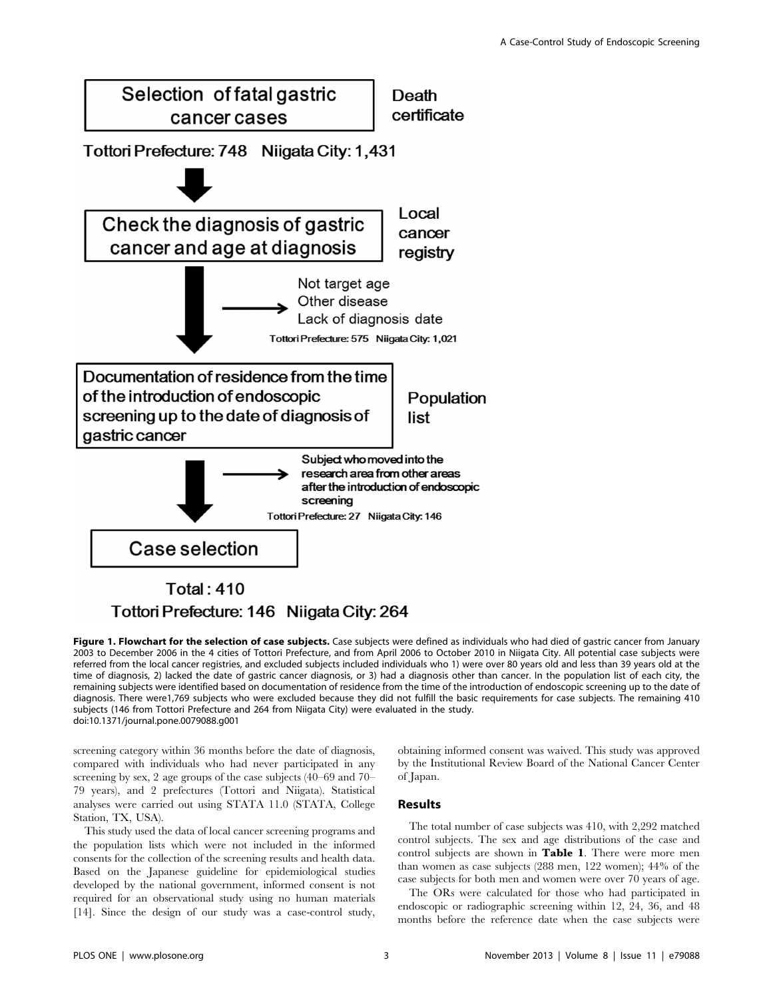

# Tottori Prefecture: 146 Niigata City: 264

Figure 1. Flowchart for the selection of case subjects. Case subjects were defined as individuals who had died of gastric cancer from January 2003 to December 2006 in the 4 cities of Tottori Prefecture, and from April 2006 to October 2010 in Niigata City. All potential case subjects were referred from the local cancer registries, and excluded subjects included individuals who 1) were over 80 years old and less than 39 years old at the time of diagnosis, 2) lacked the date of gastric cancer diagnosis, or 3) had a diagnosis other than cancer. In the population list of each city, the remaining subjects were identified based on documentation of residence from the time of the introduction of endoscopic screening up to the date of diagnosis. There were1,769 subjects who were excluded because they did not fulfill the basic requirements for case subjects. The remaining 410 subjects (146 from Tottori Prefecture and 264 from Niigata City) were evaluated in the study. doi:10.1371/journal.pone.0079088.g001

screening category within 36 months before the date of diagnosis, compared with individuals who had never participated in any screening by sex, 2 age groups of the case subjects (40–69 and 70– 79 years), and 2 prefectures (Tottori and Niigata). Statistical analyses were carried out using STATA 11.0 (STATA, College Station, TX, USA).

This study used the data of local cancer screening programs and the population lists which were not included in the informed consents for the collection of the screening results and health data. Based on the Japanese guideline for epidemiological studies developed by the national government, informed consent is not required for an observational study using no human materials [14]. Since the design of our study was a case-control study,

obtaining informed consent was waived. This study was approved by the Institutional Review Board of the National Cancer Center of Japan.

#### Results

The total number of case subjects was 410, with 2,292 matched control subjects. The sex and age distributions of the case and control subjects are shown in Table 1. There were more men than women as case subjects (288 men, 122 women); 44% of the case subjects for both men and women were over 70 years of age.

The ORs were calculated for those who had participated in endoscopic or radiographic screening within 12, 24, 36, and 48 months before the reference date when the case subjects were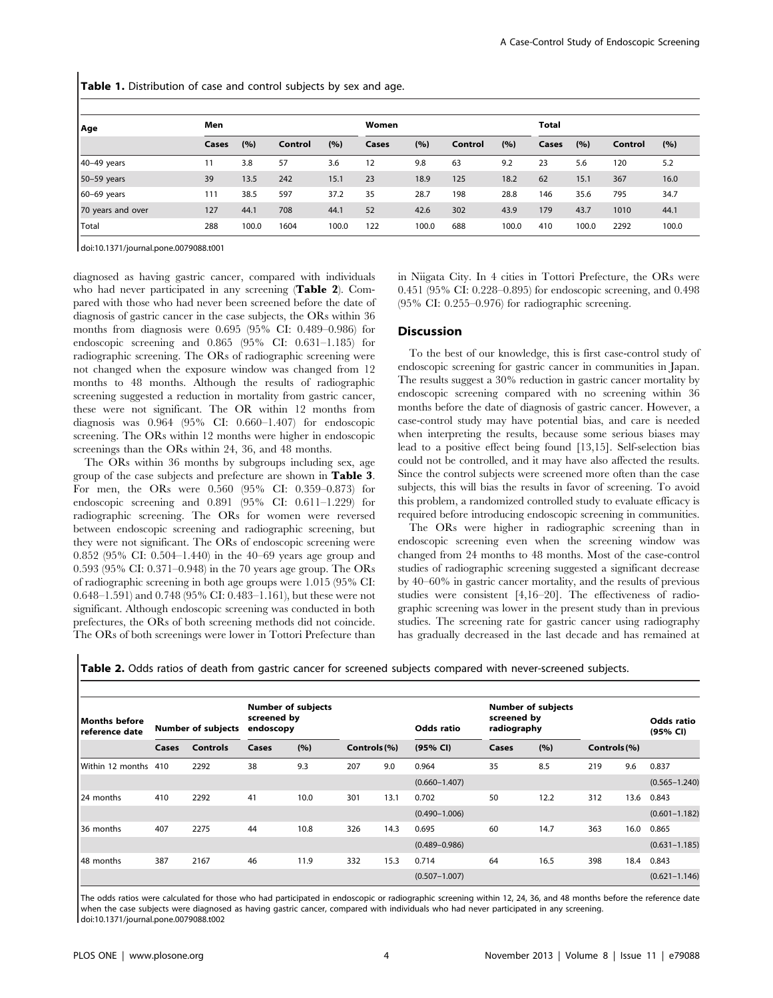Table 1. Distribution of case and control subjects by sex and age.

| Age               | Men   |       |         |       | Women |       |         |       | <b>Total</b> |       |         |       |
|-------------------|-------|-------|---------|-------|-------|-------|---------|-------|--------------|-------|---------|-------|
|                   | Cases | (%)   | Control | (%)   | Cases | (%)   | Control | (%)   | Cases        | (%)   | Control | (%)   |
| 40-49 years       | 11    | 3.8   | 57      | 3.6   | 12    | 9.8   | 63      | 9.2   | 23           | 5.6   | 120     | 5.2   |
| 50-59 years       | 39    | 13.5  | 242     | 15.1  | 23    | 18.9  | 125     | 18.2  | 62           | 15.1  | 367     | 16.0  |
| 60-69 years       | 111   | 38.5  | 597     | 37.2  | 35    | 28.7  | 198     | 28.8  | 146          | 35.6  | 795     | 34.7  |
| 70 years and over | 127   | 44.1  | 708     | 44.1  | 52    | 42.6  | 302     | 43.9  | 179          | 43.7  | 1010    | 44.1  |
| Total             | 288   | 100.0 | 1604    | 100.0 | 122   | 100.0 | 688     | 100.0 | 410          | 100.0 | 2292    | 100.0 |

doi:10.1371/journal.pone.0079088.t001

diagnosed as having gastric cancer, compared with individuals who had never participated in any screening (Table 2). Compared with those who had never been screened before the date of diagnosis of gastric cancer in the case subjects, the ORs within 36 months from diagnosis were 0.695 (95% CI: 0.489–0.986) for endoscopic screening and 0.865 (95% CI: 0.631–1.185) for radiographic screening. The ORs of radiographic screening were not changed when the exposure window was changed from 12 months to 48 months. Although the results of radiographic screening suggested a reduction in mortality from gastric cancer, these were not significant. The OR within 12 months from diagnosis was 0.964 (95% CI: 0.660–1.407) for endoscopic screening. The ORs within 12 months were higher in endoscopic screenings than the ORs within 24, 36, and 48 months.

The ORs within 36 months by subgroups including sex, age group of the case subjects and prefecture are shown in Table 3. For men, the ORs were 0.560 (95% CI: 0.359–0.873) for endoscopic screening and 0.891 (95% CI: 0.611–1.229) for radiographic screening. The ORs for women were reversed between endoscopic screening and radiographic screening, but they were not significant. The ORs of endoscopic screening were 0.852 (95% CI: 0.504–1.440) in the 40–69 years age group and 0.593 (95% CI: 0.371–0.948) in the 70 years age group. The ORs of radiographic screening in both age groups were 1.015 (95% CI: 0.648–1.591) and 0.748 (95% CI: 0.483–1.161), but these were not significant. Although endoscopic screening was conducted in both prefectures, the ORs of both screening methods did not coincide. The ORs of both screenings were lower in Tottori Prefecture than in Niigata City. In 4 cities in Tottori Prefecture, the ORs were 0.451 (95% CI: 0.228–0.895) for endoscopic screening, and 0.498 (95% CI: 0.255–0.976) for radiographic screening.

#### **Discussion**

To the best of our knowledge, this is first case-control study of endoscopic screening for gastric cancer in communities in Japan. The results suggest a 30% reduction in gastric cancer mortality by endoscopic screening compared with no screening within 36 months before the date of diagnosis of gastric cancer. However, a case-control study may have potential bias, and care is needed when interpreting the results, because some serious biases may lead to a positive effect being found [13,15]. Self-selection bias could not be controlled, and it may have also affected the results. Since the control subjects were screened more often than the case subjects, this will bias the results in favor of screening. To avoid this problem, a randomized controlled study to evaluate efficacy is required before introducing endoscopic screening in communities.

The ORs were higher in radiographic screening than in endoscopic screening even when the screening window was changed from 24 months to 48 months. Most of the case-control studies of radiographic screening suggested a significant decrease by 40–60% in gastric cancer mortality, and the results of previous studies were consistent [4,16–20]. The effectiveness of radiographic screening was lower in the present study than in previous studies. The screening rate for gastric cancer using radiography has gradually decreased in the last decade and has remained at

Table 2. Odds ratios of death from gastric cancer for screened subjects compared with never-screened subjects.

| Months before<br>reference date |       | <b>Number of subjects</b> | screened by<br>endoscopy | <b>Number of subjects</b> |              |      | Odds ratio        | screened by<br>radiography | <b>Number of subjects</b> |              |      | <b>Odds ratio</b><br>(95% CI) |
|---------------------------------|-------|---------------------------|--------------------------|---------------------------|--------------|------|-------------------|----------------------------|---------------------------|--------------|------|-------------------------------|
|                                 | Cases | <b>Controls</b>           | Cases                    | (%)                       | Controls (%) |      | (95% CI)          | Cases                      | (%)                       | Controls (%) |      |                               |
| Within 12 months                | 410   | 2292                      | 38                       | 9.3                       | 207          | 9.0  | 0.964             | 35                         | 8.5                       | 219          | 9.6  | 0.837                         |
|                                 |       |                           |                          |                           |              |      | $(0.660 - 1.407)$ |                            |                           |              |      | $(0.565 - 1.240)$             |
| 24 months                       | 410   | 2292                      | 41                       | 10.0                      | 301          | 13.1 | 0.702             | 50                         | 12.2                      | 312          | 13.6 | 0.843                         |
|                                 |       |                           |                          |                           |              |      | $(0.490 - 1.006)$ |                            |                           |              |      | $(0.601 - 1.182)$             |
| 36 months                       | 407   | 2275                      | 44                       | 10.8                      | 326          | 14.3 | 0.695             | 60                         | 14.7                      | 363          | 16.0 | 0.865                         |
|                                 |       |                           |                          |                           |              |      | $(0.489 - 0.986)$ |                            |                           |              |      | $(0.631 - 1.185)$             |
| 48 months                       | 387   | 2167                      | 46                       | 11.9                      | 332          | 15.3 | 0.714             | 64                         | 16.5                      | 398          | 18.4 | 0.843                         |
|                                 |       |                           |                          |                           |              |      | $(0.507 - 1.007)$ |                            |                           |              |      | $(0.621 - 1.146)$             |

The odds ratios were calculated for those who had participated in endoscopic or radiographic screening within 12, 24, 36, and 48 months before the reference date when the case subjects were diagnosed as having gastric cancer, compared with individuals who had never participated in any screening. doi:10.1371/journal.pone.0079088.t002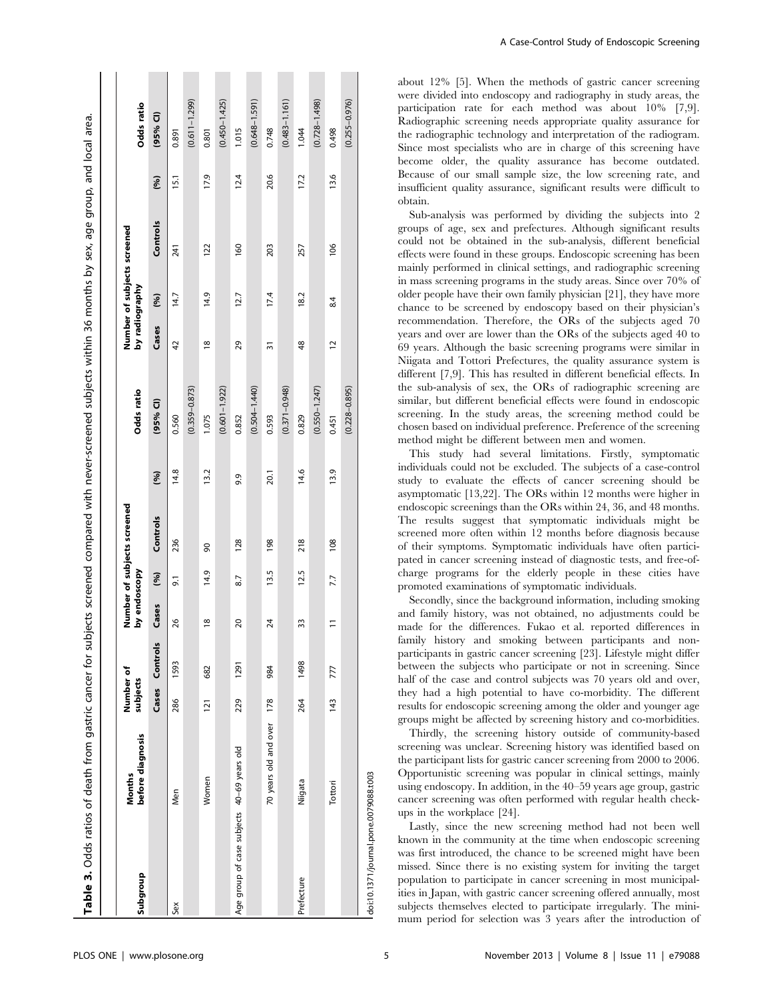| Table 3. Odds ratios of death from gastric cancer for subjects screened compared with never-screened subjects within 36 months by sex, age group, and local area. |                            |                       |                |               |      |                             |      |                   |                |                             |          |      |                   |
|-------------------------------------------------------------------------------------------------------------------------------------------------------------------|----------------------------|-----------------------|----------------|---------------|------|-----------------------------|------|-------------------|----------------|-----------------------------|----------|------|-------------------|
|                                                                                                                                                                   |                            |                       |                |               |      |                             |      |                   |                |                             |          |      |                   |
| Subgroup                                                                                                                                                          | before diagnosis<br>Months | Number of<br>subjects |                | by endoscopy  |      | Number of subjects screened |      | Odds ratio        | by radiography | Number of subjects screened |          |      | Odds ratio        |
|                                                                                                                                                                   |                            |                       | Cases Controls | Cases         | (96) | Controls                    | (96) | $(95%$ Cl)        | Cases          | (96)                        | Controls | (96) | $(95%$ CI)        |
| Sex                                                                                                                                                               | Men                        | 286                   | 1593           | 26            | 9.1  | 236                         | 14.8 | 0.560             | 42             | 14.7                        | 241      | 15.1 | 0.891             |
|                                                                                                                                                                   |                            |                       |                |               |      |                             |      | $(0.359 - 0.873)$ |                |                             |          |      | $(0.611 - 1.299)$ |
|                                                                                                                                                                   | Women                      | $\overline{121}$      | 682            | $\frac{8}{2}$ | 14.9 | 8                           | 13.2 | 1.075             | $\frac{8}{2}$  | 14.9                        | 122      | 17.9 | 0.801             |
|                                                                                                                                                                   |                            |                       |                |               |      |                             |      | $(0.601 - 1.922)$ |                |                             |          |      | $(0.450 - 1.425)$ |
| Age group of case subjects 40-69 years old                                                                                                                        |                            | 229                   | 1291           | 20            | 8.7  | 128                         | 9.9  | 0.852             | 29             | 12.7                        | 160      | 12.4 | 1.015             |
|                                                                                                                                                                   |                            |                       |                |               |      |                             |      | $(0.504 - 1.440)$ |                |                             |          |      | $(0.648 - 1.591)$ |
|                                                                                                                                                                   | 70 years old and over      | 178                   | 984            | 24            | 13.5 | 198                         | 20.1 | 0.593             | ్              | 17.4                        | 203      | 20.6 | 0.748             |
|                                                                                                                                                                   |                            |                       |                |               |      |                             |      | $(0.371 - 0.948)$ |                |                             |          |      | $(0.483 - 1.161)$ |
| Prefecture                                                                                                                                                        | Niigata                    | 264                   | 1498           | 33            | 12.5 | 218                         | 14.6 | 0.829             | $\frac{48}{5}$ | 18.2                        | 257      | 17.2 | 1.044             |
|                                                                                                                                                                   |                            |                       |                |               |      |                             |      | $(0.550 - 1.247)$ |                |                             |          |      | $(0.728 - 1.498)$ |
|                                                                                                                                                                   | Tottori                    | 143                   | 777            | Ξ             | 7.7  | 108                         | 13.9 | 0.451             | 12             | 84                          | 106      | 13.6 | 0.498             |
|                                                                                                                                                                   |                            |                       |                |               |      |                             |      | $(0.228 - 0.895)$ |                |                             |          |      | $(0.255 - 0.976)$ |
| doi:10.1371/journal.pone.0079088.t003                                                                                                                             |                            |                       |                |               |      |                             |      |                   |                |                             |          |      |                   |

about 12% [5]. When the methods of gastric cancer screening were divided into endoscopy and radiography in study areas, the participation rate for each method was about 10% [7,9]. Radiographic screening needs appropriate quality assurance for the radiographic technology and interpretation of the radiogram. Since most specialists who are in charge of this screening have become older, the quality assurance has become outdated. Because of our small sample size, the low screening rate, and insufficient quality assurance, significant results were difficult to obtain.

Sub-analysis was performed by dividing the subjects into 2 groups of age, sex and prefectures. Although significant results could not be obtained in the sub-analysis, different beneficial effects were found in these groups. Endoscopic screening has been mainly performed in clinical settings, and radiographic screening in mass screening programs in the study areas. Since over 70% of older people have their own family physician [21], they have more chance to be screened by endoscopy based on their physician's recommendation. Therefore, the ORs of the subjects aged 70 years and over are lower than the ORs of the subjects aged 40 to 69 years. Although the basic screening programs were similar in Niigata and Tottori Prefectures, the quality assurance system is different [7,9]. This has resulted in different beneficial effects. In the sub-analysis of sex, the ORs of radiographic screening are similar, but different beneficial effects were found in endoscopic screening. In the study areas, the screening method could be chosen based on individual preference. Preference of the screening method might be different between men and women.

This study had several limitations. Firstly, symptomatic individuals could not be excluded. The subjects of a case-control study to evaluate the effects of cancer screening should be asymptomatic [13,22]. The ORs within 12 months were higher in endoscopic screenings than the ORs within 24, 36, and 48 months. The results suggest that symptomatic individuals might be screened more often within 12 months before diagnosis because of their symptoms. Symptomatic individuals have often participated in cancer screening instead of diagnostic tests, and free-ofcharge programs for the elderly people in these cities have promoted examinations of symptomatic individuals.

Secondly, since the background information, including smoking and family history, was not obtained, no adjustments could be made for the differences. Fukao et al. reported differences in family history and smoking between participants and nonparticipants in gastric cancer screening [23]. Lifestyle might differ between the subjects who participate or not in screening. Since half of the case and control subjects was 70 years old and over, they had a high potential to have co-morbidity. The different results for endoscopic screening among the older and younger age groups might be affected by screening history and co-morbidities.

Thirdly, the screening history outside of community-based screening was unclear. Screening history was identified based on the participant lists for gastric cancer screening from 2000 to 2006. Opportunistic screening was popular in clinical settings, mainly using endoscopy. In addition, in the 40–59 years age group, gastric cancer screening was often performed with regular health checkups in the workplace [24].

Lastly, since the new screening method had not been well known in the community at the time when endoscopic screening was first introduced, the chance to be screened might have been missed. Since there is no existing system for inviting the target population to participate in cancer screening in most municipalities in Japan, with gastric cancer screening offered annually, most subjects themselves elected to participate irregularly. The minimum period for selection was 3 years after the introduction of